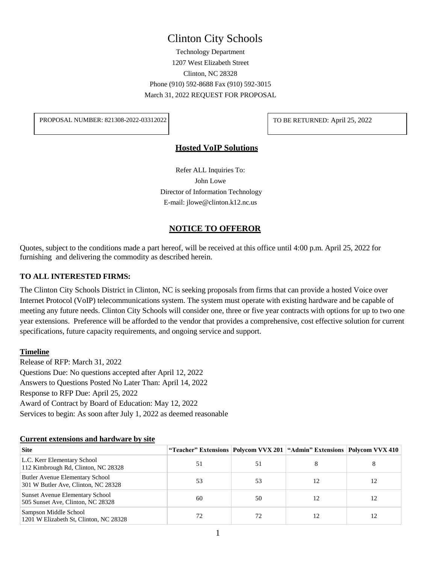# Clinton City Schools

Technology Department 1207 West Elizabeth Street Clinton, NC 28328 Phone (910) 592-8688 Fax (910) 592-3015 March 31, 2022 REQUEST FOR PROPOSAL

PROPOSAL NUMBER: 821308-2022-03312022 TO BE RETURNED: April 25, 2022

#### **Hosted VoIP Solutions**

Refer ALL Inquiries To: John Lowe Director of Information Technology E-mail: [jlowe@clinton.k12.nc.us](mailto:jlowe@clinton.k12.nc.us)

## **NOTICE TO OFFEROR**

Quotes, subject to the conditions made a part hereof, will be received at this office until 4:00 p.m. April 25, 2022 for furnishing and delivering the commodity as described herein.

#### **TO ALL INTERESTED FIRMS:**

The Clinton City Schools District in Clinton, NC is seeking proposals from firms that can provide a hosted Voice over Internet Protocol (VoIP) telecommunications system. The system must operate with existing hardware and be capable of meeting any future needs. Clinton City Schools will consider one, three or five year contracts with options for up to two one year extensions. Preference will be afforded to the vendor that provides a comprehensive, cost effective solution for current specifications, future capacity requirements, and ongoing service and support.

#### **Timeline**

Release of RFP: March 31, 2022 Questions Due: No questions accepted after April 12, 2022 Answers to Questions Posted No Later Than: April 14, 2022 Response to RFP Due: April 25, 2022 Award of Contract by Board of Education: May 12, 2022 Services to begin: As soon after July 1, 2022 as deemed reasonable

#### **Current extensions and hardware by site**

| <b>Site</b>                                                                   | "Teacher" Extensions   Polycom VVX 201   "Admin" Extensions   Polycom VVX 410 |    |    |    |
|-------------------------------------------------------------------------------|-------------------------------------------------------------------------------|----|----|----|
| L.C. Kerr Elementary School<br>112 Kimbrough Rd, Clinton, NC 28328            | 51                                                                            | 51 |    |    |
| <b>Butler Avenue Elementary School</b><br>301 W Butler Ave, Clinton, NC 28328 | 53                                                                            | 53 | 12 | 12 |
| Sunset Avenue Elementary School<br>505 Sunset Ave, Clinton, NC 28328          | 60                                                                            | 50 | 12 |    |
| Sampson Middle School<br>1201 W Elizabeth St, Clinton, NC 28328               |                                                                               | 72 | 12 |    |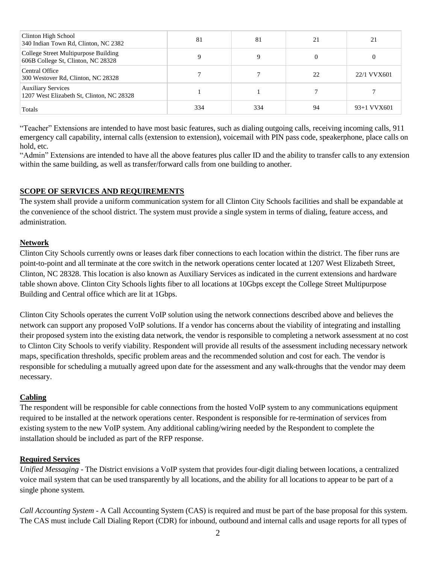| Clinton High School<br>340 Indian Town Rd, Clinton, NC 2382                | 81  | 81  | 21 | 21          |
|----------------------------------------------------------------------------|-----|-----|----|-------------|
| College Street Multipurpose Building<br>606B College St, Clinton, NC 28328 |     | 9   |    |             |
| Central Office<br>300 Westover Rd, Clinton, NC 28328                       |     |     | 22 | 22/1 VVX601 |
| <b>Auxiliary Services</b><br>1207 West Elizabeth St, Clinton, NC 28328     |     |     |    |             |
| Totals                                                                     | 334 | 334 | 94 | 93+1 VVX601 |

"Teacher" Extensions are intended to have most basic features, such as dialing outgoing calls, receiving incoming calls, 911 emergency call capability, internal calls (extension to extension), voicemail with PIN pass code, speakerphone, place calls on hold, etc.

"Admin" Extensions are intended to have all the above features plus caller ID and the ability to transfer calls to any extension within the same building, as well as transfer/forward calls from one building to another.

## **SCOPE OF SERVICES AND REQUIREMENTS**

The system shall provide a uniform communication system for all Clinton City Schools facilities and shall be expandable at the convenience of the school district. The system must provide a single system in terms of dialing, feature access, and administration.

## **Network**

Clinton City Schools currently owns or leases dark fiber connections to each location within the district. The fiber runs are point-to-point and all terminate at the core switch in the network operations center located at 1207 West Elizabeth Street, Clinton, NC 28328. This location is also known as Auxiliary Services as indicated in the current extensions and hardware table shown above. Clinton City Schools lights fiber to all locations at 10Gbps except the College Street Multipurpose Building and Central office which are lit at 1Gbps.

Clinton City Schools operates the current VoIP solution using the network connections described above and believes the network can support any proposed VoIP solutions. If a vendor has concerns about the viability of integrating and installing their proposed system into the existing data network, the vendor is responsible to completing a network assessment at no cost to Clinton City Schools to verify viability. Respondent will provide all results of the assessment including necessary network maps, specification thresholds, specific problem areas and the recommended solution and cost for each. The vendor is responsible for scheduling a mutually agreed upon date for the assessment and any walk-throughs that the vendor may deem necessary.

## **Cabling**

The respondent will be responsible for cable connections from the hosted VoIP system to any communications equipment required to be installed at the network operations center. Respondent is responsible for re-termination of services from existing system to the new VoIP system. Any additional cabling/wiring needed by the Respondent to complete the installation should be included as part of the RFP response.

## **Required Services**

*Unified Messaging* - The District envisions a VoIP system that provides four-digit dialing between locations, a centralized voice mail system that can be used transparently by all locations, and the ability for all locations to appear to be part of a single phone system.

*Call Accounting System* - A Call Accounting System (CAS) is required and must be part of the base proposal for this system. The CAS must include Call Dialing Report (CDR) for inbound, outbound and internal calls and usage reports for all types of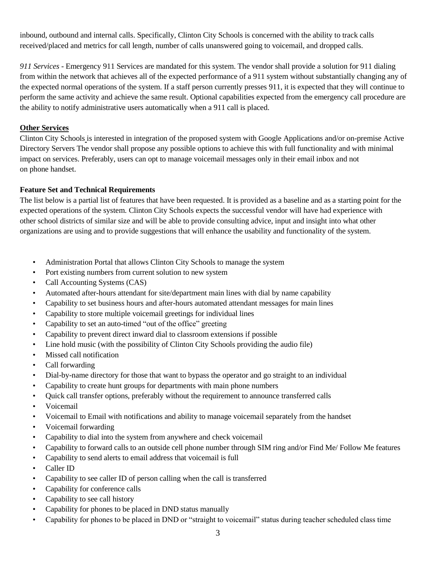inbound, outbound and internal calls. Specifically, Clinton City Schools is concerned with the ability to track calls received/placed and metrics for call length, number of calls unanswered going to voicemail, and dropped calls.

*911 Services* - Emergency 911 Services are mandated for this system. The vendor shall provide a solution for 911 dialing from within the network that achieves all of the expected performance of a 911 system without substantially changing any of the expected normal operations of the system. If a staff person currently presses 911, it is expected that they will continue to perform the same activity and achieve the same result. Optional capabilities expected from the emergency call procedure are the ability to notify administrative users automatically when a 911 call is placed.

## **Other Services**

Clinton City Schools is interested in integration of the proposed system with Google Applications and/or on-premise Active Directory Servers The vendor shall propose any possible options to achieve this with full functionality and with minimal impact on services. Preferably, users can opt to manage voicemail messages only in their email inbox and not on phone handset.

## **Feature Set and Technical Requirements**

The list below is a partial list of features that have been requested. It is provided as a baseline and as a starting point for the expected operations of the system. Clinton City Schools expects the successful vendor will have had experience with other school districts of similar size and will be able to provide consulting advice, input and insight into what other organizations are using and to provide suggestions that will enhance the usability and functionality of the system.

- Administration Portal that allows Clinton City Schools to manage the system
- Port existing numbers from current solution to new system
- Call Accounting Systems (CAS)
- Automated after-hours attendant for site/department main lines with dial by name capability
- Capability to set business hours and after-hours automated attendant messages for main lines
- Capability to store multiple voicemail greetings for individual lines
- Capability to set an auto-timed "out of the office" greeting
- Capability to prevent direct inward dial to classroom extensions if possible
- Line hold music (with the possibility of Clinton City Schools providing the audio file)
- Missed call notification
- Call forwarding
- Dial-by-name directory for those that want to bypass the operator and go straight to an individual
- Capability to create hunt groups for departments with main phone numbers
- Quick call transfer options, preferably without the requirement to announce transferred calls
- Voicemail
- Voicemail to Email with notifications and ability to manage voicemail separately from the handset
- Voicemail forwarding
- Capability to dial into the system from anywhere and check voicemail
- Capability to forward calls to an outside cell phone number through SIM ring and/or Find Me/ Follow Me features
- Capability to send alerts to email address that voicemail is full
- Caller ID
- Capability to see caller ID of person calling when the call is transferred
- Capability for conference calls
- Capability to see call history
- Capability for phones to be placed in DND status manually
- Capability for phones to be placed in DND or "straight to voicemail" status during teacher scheduled class time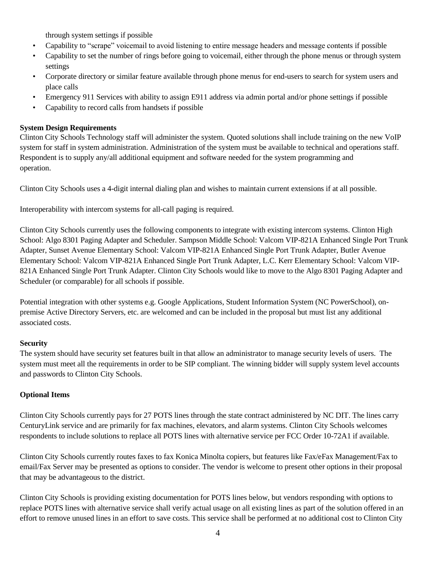through system settings if possible

- Capability to "scrape" voicemail to avoid listening to entire message headers and message contents if possible
- Capability to set the number of rings before going to voicemail, either through the phone menus or through system settings
- Corporate directory or similar feature available through phone menus for end-users to search for system users and place calls
- Emergency 911 Services with ability to assign E911 address via admin portal and/or phone settings if possible
- Capability to record calls from handsets if possible

## **System Design Requirements**

Clinton City Schools Technology staff will administer the system. Quoted solutions shall include training on the new VoIP system for staff in system administration. Administration of the system must be available to technical and operations staff. Respondent is to supply any/all additional equipment and software needed for the system programming and operation.

Clinton City Schools uses a 4-digit internal dialing plan and wishes to maintain current extensions if at all possible.

Interoperability with intercom systems for all-call paging is required.

Clinton City Schools currently uses the following components to integrate with existing intercom systems. Clinton High School: Algo 8301 Paging Adapter and Scheduler. Sampson Middle School: Valcom VIP-821A Enhanced Single Port Trunk Adapter, Sunset Avenue Elementary School: Valcom VIP-821A Enhanced Single Port Trunk Adapter, Butler Avenue Elementary School: Valcom VIP-821A Enhanced Single Port Trunk Adapter, L.C. Kerr Elementary School: Valcom VIP-821A Enhanced Single Port Trunk Adapter. Clinton City Schools would like to move to the Algo 8301 Paging Adapter and Scheduler (or comparable) for all schools if possible.

Potential integration with other systems e.g. Google Applications, Student Information System (NC PowerSchool), onpremise Active Directory Servers, etc. are welcomed and can be included in the proposal but must list any additional associated costs.

## **Security**

The system should have security set features built in that allow an administrator to manage security levels of users. The system must meet all the requirements in order to be SIP compliant. The winning bidder will supply system level accounts and passwords to Clinton City Schools.

## **Optional Items**

Clinton City Schools currently pays for 27 POTS lines through the state contract administered by NC DIT. The lines carry CenturyLink service and are primarily for fax machines, elevators, and alarm systems. Clinton City Schools welcomes respondents to include solutions to replace all POTS lines with alternative service per FCC Order 10-72A1 if available.

Clinton City Schools currently routes faxes to fax Konica Minolta copiers, but features like Fax/eFax Management/Fax to email/Fax Server may be presented as options to consider. The vendor is welcome to present other options in their proposal that may be advantageous to the district.

Clinton City Schools is providing existing documentation for POTS lines below, but vendors responding with options to replace POTS lines with alternative service shall verify actual usage on all existing lines as part of the solution offered in an effort to remove unused lines in an effort to save costs. This service shall be performed at no additional cost to Clinton City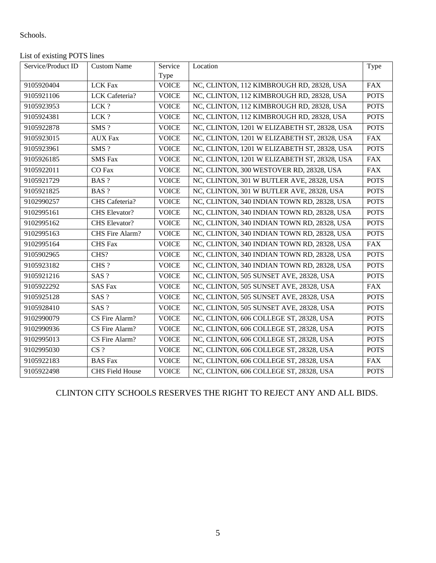## Schools.

## List of existing POTS lines

| Service/Product ID | <b>Custom Name</b>     | Service      | Location                                     | Type        |
|--------------------|------------------------|--------------|----------------------------------------------|-------------|
|                    |                        | Type         |                                              |             |
| 9105920404         | <b>LCK Fax</b>         | <b>VOICE</b> | NC, CLINTON, 112 KIMBROUGH RD, 28328, USA    | <b>FAX</b>  |
| 9105921106         | LCK Cafeteria?         | <b>VOICE</b> | NC, CLINTON, 112 KIMBROUGH RD, 28328, USA    | <b>POTS</b> |
| 9105923953         | LCK?                   | <b>VOICE</b> | NC, CLINTON, 112 KIMBROUGH RD, 28328, USA    | <b>POTS</b> |
| 9105924381         | LCK?                   | <b>VOICE</b> | NC, CLINTON, 112 KIMBROUGH RD, 28328, USA    | <b>POTS</b> |
| 9105922878         | SMS?                   | <b>VOICE</b> | NC, CLINTON, 1201 W ELIZABETH ST, 28328, USA | <b>POTS</b> |
| 9105923015         | <b>AUX Fax</b>         | <b>VOICE</b> | NC, CLINTON, 1201 W ELIZABETH ST, 28328, USA | <b>FAX</b>  |
| 9105923961         | SMS?                   | <b>VOICE</b> | NC, CLINTON, 1201 W ELIZABETH ST, 28328, USA | <b>POTS</b> |
| 9105926185         | <b>SMS</b> Fax         | <b>VOICE</b> | NC, CLINTON, 1201 W ELIZABETH ST, 28328, USA | <b>FAX</b>  |
| 9105922011         | CO Fax                 | <b>VOICE</b> | NC, CLINTON, 300 WESTOVER RD, 28328, USA     | <b>FAX</b>  |
| 9105921729         | BAS ?                  | <b>VOICE</b> | NC, CLINTON, 301 W BUTLER AVE, 28328, USA    | <b>POTS</b> |
| 9105921825         | BAS ?                  | <b>VOICE</b> | NC, CLINTON, 301 W BUTLER AVE, 28328, USA    | <b>POTS</b> |
| 9102990257         | CHS Cafeteria?         | <b>VOICE</b> | NC, CLINTON, 340 INDIAN TOWN RD, 28328, USA  | <b>POTS</b> |
| 9102995161         | CHS Elevator?          | <b>VOICE</b> | NC, CLINTON, 340 INDIAN TOWN RD, 28328, USA  | <b>POTS</b> |
| 9102995162         | <b>CHS</b> Elevator?   | <b>VOICE</b> | NC, CLINTON, 340 INDIAN TOWN RD, 28328, USA  | <b>POTS</b> |
| 9102995163         | CHS Fire Alarm?        | <b>VOICE</b> | NC, CLINTON, 340 INDIAN TOWN RD, 28328, USA  | <b>POTS</b> |
| 9102995164         | <b>CHS</b> Fax         | <b>VOICE</b> | NC, CLINTON, 340 INDIAN TOWN RD, 28328, USA  | <b>FAX</b>  |
| 9105902965         | CHS?                   | <b>VOICE</b> | NC, CLINTON, 340 INDIAN TOWN RD, 28328, USA  | <b>POTS</b> |
| 9105923182         | CHS?                   | <b>VOICE</b> | NC, CLINTON, 340 INDIAN TOWN RD, 28328, USA  | <b>POTS</b> |
| 9105921216         | SAS ?                  | <b>VOICE</b> | NC, CLINTON, 505 SUNSET AVE, 28328, USA      | <b>POTS</b> |
| 9105922292         | <b>SAS Fax</b>         | <b>VOICE</b> | NC, CLINTON, 505 SUNSET AVE, 28328, USA      | <b>FAX</b>  |
| 9105925128         | SAS ?                  | <b>VOICE</b> | NC, CLINTON, 505 SUNSET AVE, 28328, USA      | <b>POTS</b> |
| 9105928410         | SAS ?                  | <b>VOICE</b> | NC, CLINTON, 505 SUNSET AVE, 28328, USA      | <b>POTS</b> |
| 9102990079         | CS Fire Alarm?         | <b>VOICE</b> | NC, CLINTON, 606 COLLEGE ST, 28328, USA      | <b>POTS</b> |
| 9102990936         | CS Fire Alarm?         | <b>VOICE</b> | NC, CLINTON, 606 COLLEGE ST, 28328, USA      | <b>POTS</b> |
| 9102995013         | CS Fire Alarm?         | <b>VOICE</b> | NC, CLINTON, 606 COLLEGE ST, 28328, USA      | <b>POTS</b> |
| 9102995030         | CS <sub>2</sub>        | <b>VOICE</b> | NC, CLINTON, 606 COLLEGE ST, 28328, USA      | <b>POTS</b> |
| 9105922183         | <b>BAS</b> Fax         | <b>VOICE</b> | NC, CLINTON, 606 COLLEGE ST, 28328, USA      | <b>FAX</b>  |
| 9105922498         | <b>CHS Field House</b> | <b>VOICE</b> | NC, CLINTON, 606 COLLEGE ST, 28328, USA      | <b>POTS</b> |

## CLINTON CITY SCHOOLS RESERVES THE RIGHT TO REJECT ANY AND ALL BIDS.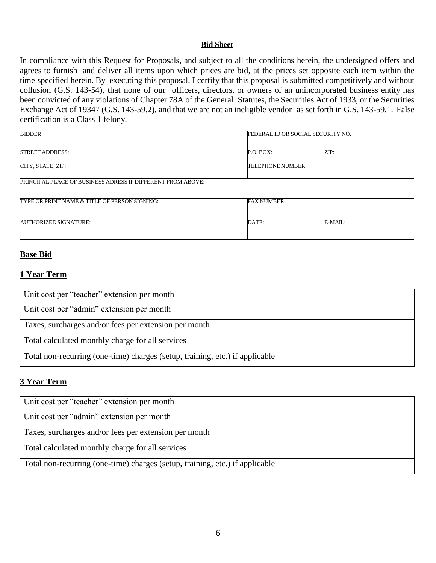#### **Bid Sheet**

In compliance with this Request for Proposals, and subject to all the conditions herein, the undersigned offers and agrees to furnish and deliver all items upon which prices are bid, at the prices set opposite each item within the time specified herein. By executing this proposal, I certify that this proposal is submitted competitively and without collusion (G.S. 143-54), that none of our officers, directors, or owners of an unincorporated business entity has been convicted of any violations of Chapter 78A of the General Statutes, the Securities Act of 1933, or the Securities Exchange Act of 19347 (G.S. 143-59.2), and that we are not an ineligible vendor as set forth in G.S. 143-59.1. False certification is a Class 1 felony.

| <b>BIDDER:</b>                                                     |                    | FEDERAL ID OR SOCIAL SECURITY NO. |  |
|--------------------------------------------------------------------|--------------------|-----------------------------------|--|
| <b>STREET ADDRESS:</b>                                             | P.O. BOX:          | ZIP:                              |  |
| CITY, STATE, ZIP:                                                  | TELEPHONE NUMBER:  |                                   |  |
| <b>PRINCIPAL PLACE OF BUSINESS ADRESS IF DIFFERENT FROM ABOVE:</b> |                    |                                   |  |
| <b>TYPE OR PRINT NAME &amp; TITLE OF PERSON SIGNING:</b>           | <b>FAX NUMBER:</b> |                                   |  |
| AUTHORIZED SIGNATURE:                                              | DATE:              | E-MAIL:                           |  |

### **Base Bid**

## **1 Year Term**

| Unit cost per "teacher" extension per month                                  |  |
|------------------------------------------------------------------------------|--|
| Unit cost per "admin" extension per month                                    |  |
| Taxes, surcharges and/or fees per extension per month                        |  |
| Total calculated monthly charge for all services                             |  |
| Total non-recurring (one-time) charges (setup, training, etc.) if applicable |  |

## **3 Year Term**

| Unit cost per "teacher" extension per month                                  |  |
|------------------------------------------------------------------------------|--|
| Unit cost per "admin" extension per month                                    |  |
| Taxes, surcharges and/or fees per extension per month                        |  |
| Total calculated monthly charge for all services                             |  |
| Total non-recurring (one-time) charges (setup, training, etc.) if applicable |  |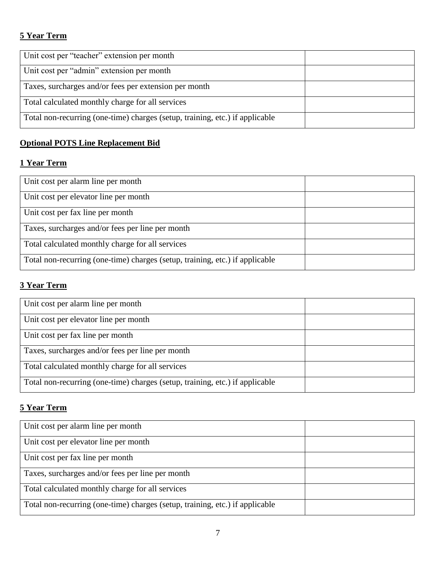# **5 Year Term**

| Unit cost per "teacher" extension per month                                  |  |
|------------------------------------------------------------------------------|--|
|                                                                              |  |
|                                                                              |  |
| Unit cost per "admin" extension per month                                    |  |
|                                                                              |  |
|                                                                              |  |
| Taxes, surcharges and/or fees per extension per month                        |  |
|                                                                              |  |
|                                                                              |  |
| Total calculated monthly charge for all services                             |  |
|                                                                              |  |
| Total non-recurring (one-time) charges (setup, training, etc.) if applicable |  |
|                                                                              |  |
|                                                                              |  |

# **Optional POTS Line Replacement Bid**

# **1 Year Term**

| Unit cost per alarm line per month                                           |  |
|------------------------------------------------------------------------------|--|
| Unit cost per elevator line per month                                        |  |
| Unit cost per fax line per month                                             |  |
| Taxes, surcharges and/or fees per line per month                             |  |
| Total calculated monthly charge for all services                             |  |
| Total non-recurring (one-time) charges (setup, training, etc.) if applicable |  |

## **3 Year Term**

| Unit cost per alarm line per month                                           |  |
|------------------------------------------------------------------------------|--|
| Unit cost per elevator line per month                                        |  |
| Unit cost per fax line per month                                             |  |
| Taxes, surcharges and/or fees per line per month                             |  |
| Total calculated monthly charge for all services                             |  |
| Total non-recurring (one-time) charges (setup, training, etc.) if applicable |  |

# **5 Year Term**

| Unit cost per alarm line per month                                           |  |
|------------------------------------------------------------------------------|--|
| Unit cost per elevator line per month                                        |  |
| Unit cost per fax line per month                                             |  |
| Taxes, surcharges and/or fees per line per month                             |  |
| Total calculated monthly charge for all services                             |  |
| Total non-recurring (one-time) charges (setup, training, etc.) if applicable |  |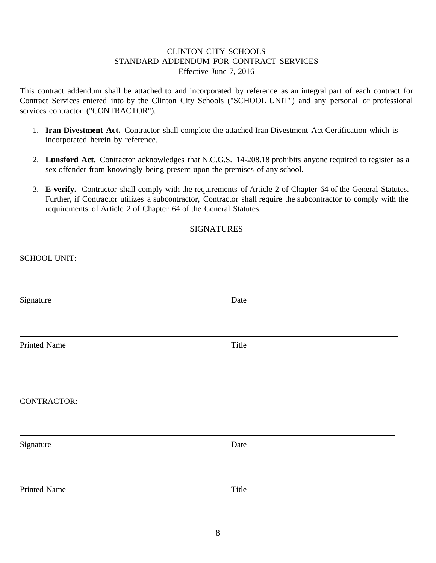## CLINTON CITY SCHOOLS STANDARD ADDENDUM FOR CONTRACT SERVICES Effective June 7, 2016

This contract addendum shall be attached to and incorporated by reference as an integral part of each contract for Contract Services entered into by the Clinton City Schools ("SCHOOL UNIT") and any personal or professional services contractor ("CONTRACTOR").

- 1. **Iran Divestment Act.** Contractor shall complete the attached Iran Divestment Act Certification which is incorporated herein by reference.
- 2. **Lunsford Act.** Contractor acknowledges that N.C.G.S. 14-208.18 prohibits anyone required to register as a sex offender from knowingly being present upon the premises of any school.
- 3. **E-verify.** Contractor shall comply with the requirements of Article 2 of Chapter 64 of the General Statutes. Further, if Contractor utilizes a subcontractor, Contractor shall require the subcontractor to comply with the requirements of Article 2 of Chapter 64 of the General Statutes.

## **SIGNATURES**

SCHOOL UNIT:

| Signature          | Date  |  |
|--------------------|-------|--|
|                    |       |  |
|                    |       |  |
| Printed Name       | Title |  |
|                    |       |  |
|                    |       |  |
| <b>CONTRACTOR:</b> |       |  |
|                    |       |  |
|                    |       |  |
| Signature          | Date  |  |
|                    |       |  |
|                    |       |  |
| Printed Name       | Title |  |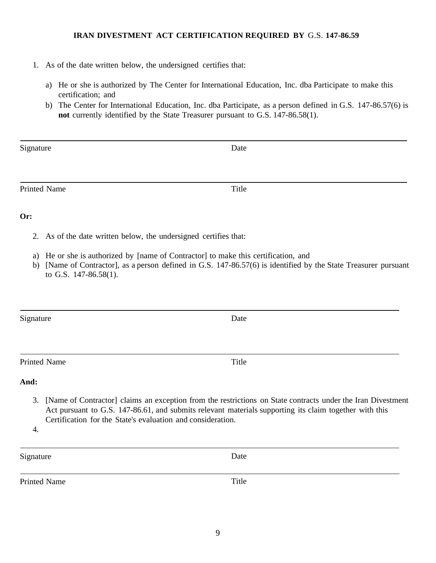#### **IRAN DIVESTMENT ACT CERTIFICATION REQUIRED BY** G.S. **147-86.59**

- 1. As of the date written below, the undersigned certifies that:
	- a) He or she is authorized by The Center for International Education, Inc. dba Participate to make this certification; and
	- b) The Center for International Education, Inc. dba Participate, as a person defined in G.S. 147-86.57(6) is **not** currently identified by the State Treasurer pursuant to G.S. 147-86.58(1).

| Signature | Date |
|-----------|------|
|           |      |
|           |      |

#### **Or:**

2. As of the date written below, the undersigned certifies that:

Printed Name Title

- a) He or she is authorized by [name of Contractor] to make this certification, and
- b) [Name of Contractor], as a person defined in G.S. 147-86.57(6) is identified by the State Treasurer pursuant to G.S. 147-86.58(1).

Signature Date

Printed Name Title

**And:**

3. [Name of Contractor] claims an exception from the restrictions on State contracts under the Iran Divestment Act pursuant to G.S. 147-86.61, and submits relevant materials supporting its claim together with this Certification for the State's evaluation and consideration.

4.

| Signature | Date |
|-----------|------|
|           |      |

Printed Name Title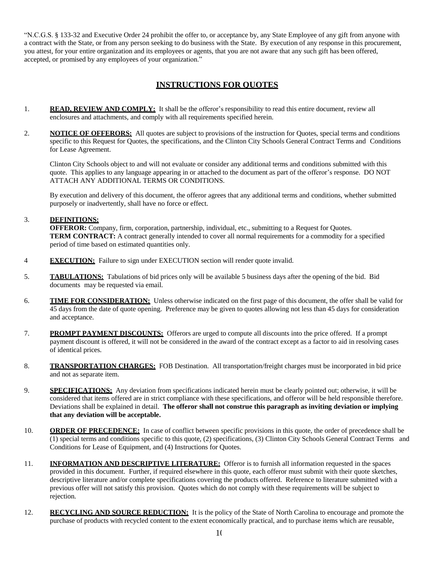"N.C.G.S. § 133-32 and Executive Order 24 prohibit the offer to, or acceptance by, any State Employee of any gift from anyone with a contract with the State, or from any person seeking to do business with the State. By execution of any response in this procurement, you attest, for your entire organization and its employees or agents, that you are not aware that any such gift has been offered, accepted, or promised by any employees of your organization."

## **INSTRUCTIONS FOR QUOTES**

- 1. **READ, REVIEW AND COMPLY:** It shall be the offeror's responsibility to read this entire document, review all enclosures and attachments, and comply with all requirements specified herein.
- 2. **NOTICE OF OFFERORS:** All quotes are subject to provisions of the instruction for Quotes, special terms and conditions specific to this Request for Quotes, the specifications, and the Clinton City Schools General Contract Terms and Conditions for Lease Agreement.

Clinton City Schools object to and will not evaluate or consider any additional terms and conditions submitted with this quote. This applies to any language appearing in or attached to the document as part of the offeror's response. DO NOT ATTACH ANY ADDITIONAL TERMS OR CONDITIONS.

By execution and delivery of this document, the offeror agrees that any additional terms and conditions, whether submitted purposely or inadvertently, shall have no force or effect.

#### 3. **DEFINITIONS:**

**OFFEROR:** Company, firm, corporation, partnership, individual, etc., submitting to a Request for Quotes. **TERM CONTRACT:** A contract generally intended to cover all normal requirements for a commodity for a specified period of time based on estimated quantities only.

- 4 **EXECUTION:** Failure to sign under EXECUTION section will render quote invalid.
- 5. **TABULATIONS:**Tabulations of bid prices only will be available 5 business days after the opening of the bid. Bid documents may be requested via email.
- 6. **TIME FOR CONSIDERATION:** Unless otherwise indicated on the first page of this document, the offer shall be valid for 45 days from the date of quote opening. Preference may be given to quotes allowing not less than 45 days for consideration and acceptance.
- 7. **PROMPT PAYMENT DISCOUNTS:** Offerors are urged to compute all discounts into the price offered. If a prompt payment discount is offered, it will not be considered in the award of the contract except as a factor to aid in resolving cases of identical prices.
- 8. **TRANSPORTATION CHARGES:** FOB Destination. All transportation/freight charges must be incorporated in bid price and not as separate item.
- 9. **SPECIFICATIONS:** Any deviation from specifications indicated herein must be clearly pointed out; otherwise, it will be considered that items offered are in strict compliance with these specifications, and offeror will be held responsible therefore. Deviations shall be explained in detail. **The offeror shall not construe this paragraph as inviting deviation or implying that any deviation will be acceptable.**
- 10. **ORDER OF PRECEDENCE:** In case of conflict between specific provisions in this quote, the order of precedence shall be (1) special terms and conditions specific to this quote, (2) specifications, (3) Clinton City Schools General Contract Terms and Conditions for Lease of Equipment, and (4) Instructions for Quotes.
- 11. **INFORMATION AND DESCRIPTIVE LITERATURE:** Offeror is to furnish all information requested in the spaces provided in this document. Further, if required elsewhere in this quote, each offeror must submit with their quote sketches, descriptive literature and/or complete specifications covering the products offered. Reference to literature submitted with a previous offer will not satisfy this provision. Quotes which do not comply with these requirements will be subject to rejection.
- 12. **RECYCLING AND SOURCE REDUCTION:** It is the policy of the State of North Carolina to encourage and promote the purchase of products with recycled content to the extent economically practical, and to purchase items which are reusable,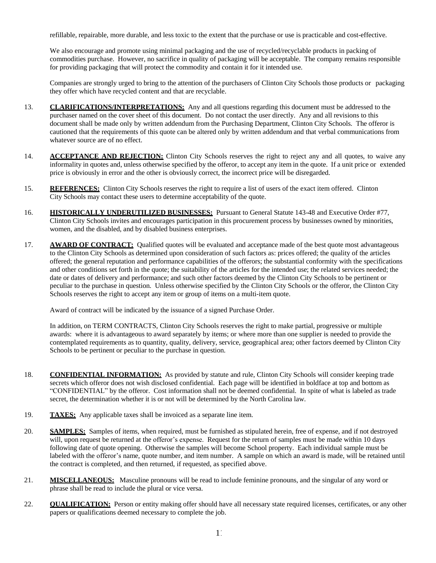refillable, repairable, more durable, and less toxic to the extent that the purchase or use is practicable and cost-effective.

We also encourage and promote using minimal packaging and the use of recycled/recyclable products in packing of commodities purchase. However, no sacrifice in quality of packaging will be acceptable. The company remains responsible for providing packaging that will protect the commodity and contain it for it intended use.

Companies are strongly urged to bring to the attention of the purchasers of Clinton City Schools those products or packaging they offer which have recycled content and that are recyclable.

- 13. **CLARIFICATIONS/INTERPRETATIONS:** Any and all questions regarding this document must be addressed to the purchaser named on the cover sheet of this document. Do not contact the user directly. Any and all revisions to this document shall be made only by written addendum from the Purchasing Department, Clinton City Schools. The offeror is cautioned that the requirements of this quote can be altered only by written addendum and that verbal communications from whatever source are of no effect.
- 14. **ACCEPTANCE AND REJECTION:** Clinton City Schools reserves the right to reject any and all quotes, to waive any informality in quotes and, unless otherwise specified by the offeror, to accept any item in the quote. If a unit price or extended price is obviously in error and the other is obviously correct, the incorrect price will be disregarded.
- 15. **REFERENCES:** Clinton City Schools reserves the right to require a list of users of the exact item offered. Clinton City Schools may contact these users to determine acceptability of the quote.
- 16. **HISTORICALLY UNDERUTILIZED BUSINESSES:** Pursuant to General Statute 143-48 and Executive Order #77, Clinton City Schools invites and encourages participation in this procurement process by businesses owned by minorities, women, and the disabled, and by disabled business enterprises.
- 17. **AWARD OF CONTRACT:** Qualified quotes will be evaluated and acceptance made of the best quote most advantageous to the Clinton City Schools as determined upon consideration of such factors as: prices offered; the quality of the articles offered; the general reputation and performance capabilities of the offerors; the substantial conformity with the specifications and other conditions set forth in the quote; the suitability of the articles for the intended use; the related services needed; the date or dates of delivery and performance; and such other factors deemed by the Clinton City Schools to be pertinent or peculiar to the purchase in question. Unless otherwise specified by the Clinton City Schools or the offeror, the Clinton City Schools reserves the right to accept any item or group of items on a multi-item quote.

Award of contract will be indicated by the issuance of a signed Purchase Order.

In addition, on TERM CONTRACTS, Clinton City Schools reserves the right to make partial, progressive or multiple awards: where it is advantageous to award separately by items; or where more than one supplier is needed to provide the contemplated requirements as to quantity, quality, delivery, service, geographical area; other factors deemed by Clinton City Schools to be pertinent or peculiar to the purchase in question.

- 18. **CONFIDENTIAL INFORMATION:** As provided by statute and rule, Clinton City Schools will consider keeping trade secrets which offeror does not wish disclosed confidential. Each page will be identified in boldface at top and bottom as "CONFIDENTIAL" by the offeror. Cost information shall not be deemed confidential. In spite of what is labeled as trade secret, the determination whether it is or not will be determined by the North Carolina law.
- 19. **TAXES:** Any applicable taxes shall be invoiced as a separate line item.
- 20. **SAMPLES:** Samples of items, when required, must be furnished as stipulated herein, free of expense, and if not destroyed will, upon request be returned at the offeror's expense. Request for the return of samples must be made within 10 days following date of quote opening. Otherwise the samples will become School property. Each individual sample must be labeled with the offeror's name, quote number, and item number. A sample on which an award is made, will be retained until the contract is completed, and then returned, if requested, as specified above.
- 21. **MISCELLANEOUS:** Masculine pronouns will be read to include feminine pronouns, and the singular of any word or phrase shall be read to include the plural or vice versa.
- 22. **QUALIFICATION:** Person or entity making offer should have all necessary state required licenses, certificates, or any other papers or qualifications deemed necessary to complete the job.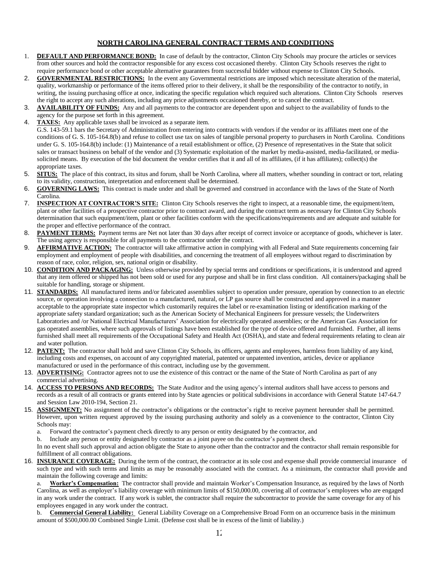#### **NORTH CAROLINA GENERAL CONTRACT TERMS AND CONDITIONS**

- 1. **DEFAULT AND PERFORMANCE BOND:** In case of default by the contractor, Clinton City Schools may procure the articles or services from other sources and hold the contractor responsible for any excess cost occasioned thereby. Clinton City Schools reserves the right to require performance bond or other acceptable alternative guarantees from successful bidder without expense to Clinton City Schools.
- 2. **GOVERNMENTAL RESTRICTIONS:** In the event any Governmental restrictions are imposed which necessitate alteration of the material, quality, workmanship or performance of the items offered prior to their delivery, it shall be the responsibility of the contractor to notify, in writing, the issuing purchasing office at once, indicating the specific regulation which required such alterations. Clinton City Schools reserves the right to accept any such alterations, including any price adjustments occasioned thereby, or to cancel the contract.
- 3. **AVAILABILITY OF FUNDS:** Any and all payments to the contractor are dependent upon and subject to the availability of funds to the agency for the purpose set forth in this agreement.
- 4. **TAXES:** Any applicable taxes shall be invoiced as a separate item.

G.S. 143-59.1 bars the Secretary of Administration from entering into contracts with vendors if the vendor or its affiliates meet one of the conditions of G. S. 105-164.8(b) and refuse to collect use tax on sales of tangible personal property to purchasers in North Carolina. Conditions under G. S. 105-164.8(b) include: (1) Maintenance of a retail establishment or office, (2) Presence of representatives in the State that solicit sales or transact business on behalf of the vendor and (3) Systematic exploitation of the market by media-assisted, media-facilitated, or mediasolicited means. By execution of the bid document the vendor certifies that it and all of its affiliates, (if it has affiliates); collect(s) the appropriate taxes.

- 5. **SITUS:** The place of this contract, its situs and forum, shall be North Carolina, where all matters, whether sounding in contract or tort, relating to its validity, construction, interpretation and enforcement shall be determined.
- 6. **GOVERNING LAWS:** This contract is made under and shall be governed and construed in accordance with the laws of the State of North Carolina.
- 7. **INSPECTION AT CONTRACTOR'S SITE:** Clinton City Schools reserves the right to inspect, at a reasonable time, the equipment/item, plant or other facilities of a prospective contractor prior to contract award, and during the contract term as necessary for Clinton City Schools determination that such equipment/item, plant or other facilities conform with the specifications/requirements and are adequate and suitable for the proper and effective performance of the contract.
- 8. **PAYMENT TERMS:** Payment terms are Net not later than 30 days after receipt of correct invoice or acceptance of goods, whichever is later. The using agency is responsible for all payments to the contractor under the contract.
- 9. **AFFIRMATIVE ACTION:** The contractor will take affirmative action in complying with all Federal and State requirements concerning fair employment and employment of people with disabilities, and concerning the treatment of all employees without regard to discrimination by reason of race, color, religion, sex, national origin or disability.
- 10. **CONDITION AND PACKAGING:** Unless otherwise provided by special terms and conditions or specifications, it is understood and agreed that any item offered or shipped has not been sold or used for any purpose and shall be in first class condition. All containers/packaging shall be suitable for handling, storage or shipment.
- 11. **STANDARDS:** All manufactured items and/or fabricated assemblies subject to operation under pressure, operation by connection to an electric source, or operation involving a connection to a manufactured, natural, or LP gas source shall be constructed and approved in a manner acceptable to the appropriate state inspector which customarily requires the label or re-examination listing or identification marking of the appropriate safety standard organization; such as the American Society of Mechanical Engineers for pressure vessels; the Underwriters Laboratories and /or National Electrical Manufacturers' Association for electrically operated assemblies; or the American Gas Association for gas operated assemblies, where such approvals of listings have been established for the type of device offered and furnished. Further, all items furnished shall meet all requirements of the Occupational Safety and Health Act (OSHA), and state and federal requirements relating to clean air and water pollution.
- 12. **PATENT:** The contractor shall hold and save Clinton City Schools, its officers, agents and employees, harmless from liability of any kind, including costs and expenses, on account of any copyrighted material, patented or unpatented invention, articles, device or appliance manufactured or used in the performance of this contract, including use by the government.
- 13. **ADVERTISING:** Contractor agrees not to use the existence of this contract or the name of the State of North Carolina as part of any commercial advertising.
- 14. **ACCESS TO PERSONS AND RECORDS:** The State Auditor and the using agency's internal auditors shall have access to persons and records as a result of all contracts or grants entered into by State agencies or political subdivisions in accordance with General Statute 147-64.7 and Session Law 2010-194, Section 21.
- 15. **ASSIGNMENT:** No assignment of the contractor's obligations or the contractor's right to receive payment hereunder shall be permitted. However, upon written request approved by the issuing purchasing authority and solely as a convenience to the contractor, Clinton City Schools may:
	- a. Forward the contractor's payment check directly to any person or entity designated by the contractor, and

b. Include any person or entity designated by contractor as a joint payee on the contractor's payment check. In no event shall such approval and action obligate the State to anyone other than the contractor and the contractor shall remain responsible for fulfillment of all contract obligations.

16. **INSURANCE COVERAGE:** During the term of the contract, the contractor at its sole cost and expense shall provide commercial insurance of such type and with such terms and limits as may be reasonably associated with the contract. As a minimum, the contractor shall provide and maintain the following coverage and limits:

a. **Worker's Compensation:** The contractor shall provide and maintain Worker's Compensation Insurance, as required by the laws of North Carolina, as well as employer's liability coverage with minimum limits of \$150,000.00, covering all of contractor's employees who are engaged in any work under the contract. If any work is sublet, the contractor shall require the subcontractor to provide the same coverage for any of his employees engaged in any work under the contract.

b. **Commercial General Liability:** General Liability Coverage on a Comprehensive Broad Form on an occurrence basis in the minimum amount of \$500,000.00 Combined Single Limit. (Defense cost shall be in excess of the limit of liability.)